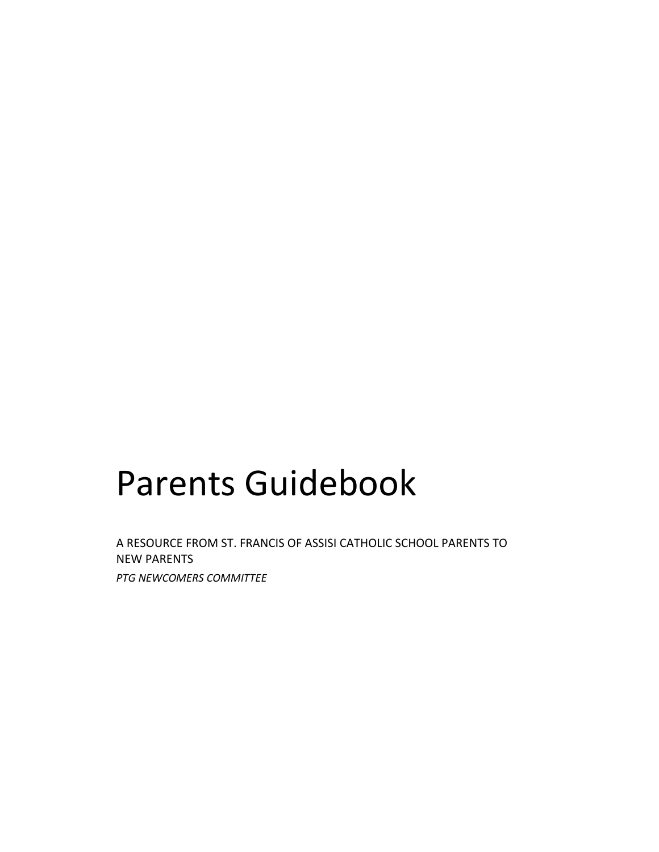# Parents Guidebook

A RESOURCE FROM ST. FRANCIS OF ASSISI CATHOLIC SCHOOL PARENTS TO NEW PARENTS *PTG NEWCOMERS COMMITTEE*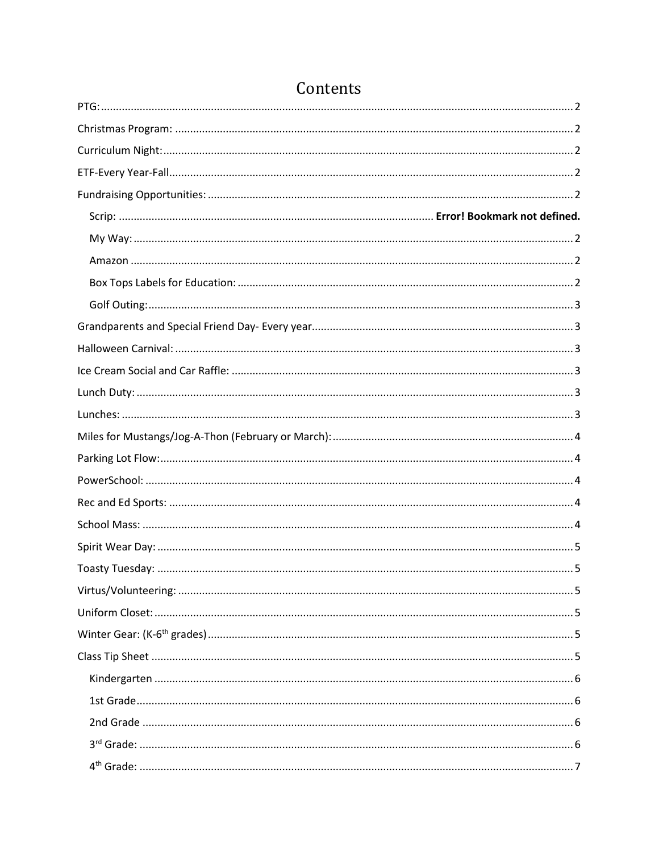# Contents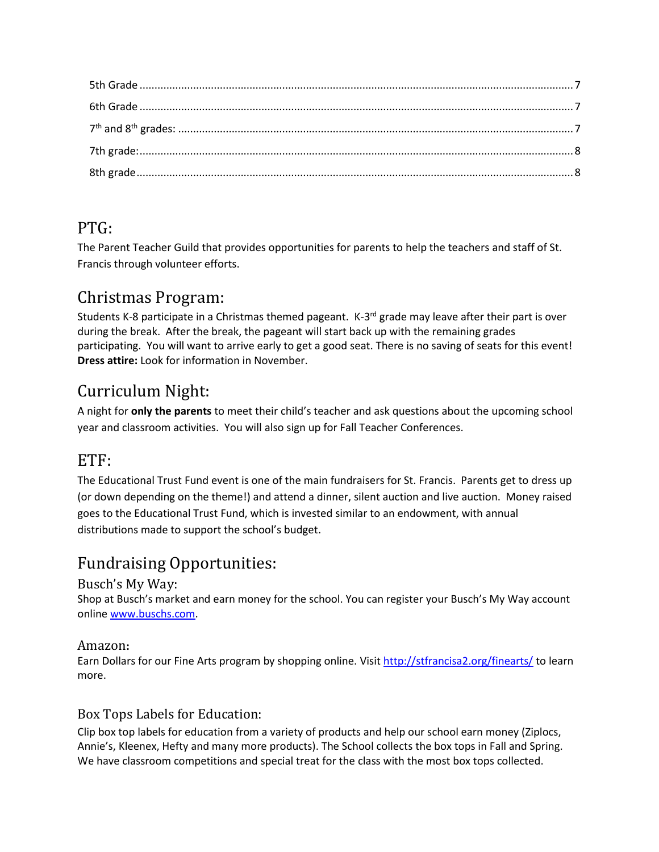#### <span id="page-2-0"></span>PTG:

The Parent Teacher Guild that provides opportunities for parents to help the teachers and staff of St. Francis through volunteer efforts.

#### <span id="page-2-1"></span>Christmas Program:

Students K-8 participate in a Christmas themed pageant. K-3<sup>rd</sup> grade may leave after their part is over during the break. After the break, the pageant will start back up with the remaining grades participating. You will want to arrive early to get a good seat. There is no saving of seats for this event! **Dress attire:** Look for information in November.

# <span id="page-2-2"></span>Curriculum Night:

A night for **only the parents** to meet their child's teacher and ask questions about the upcoming school year and classroom activities. You will also sign up for Fall Teacher Conferences.

#### <span id="page-2-3"></span>ETF:

The Educational Trust Fund event is one of the main fundraisers for St. Francis. Parents get to dress up (or down depending on the theme!) and attend a dinner, silent auction and live auction. Money raised goes to the Educational Trust Fund, which is invested similar to an endowment, with annual distributions made to support the school's budget.

### <span id="page-2-5"></span><span id="page-2-4"></span>Fundraising Opportunities:

#### Busch's My Way:

Shop at Busch's market and earn money for the school. You can register your Busch's My Way account online [www.buschs.com.](http://www.buschs.com/)

#### <span id="page-2-6"></span>Amazon**:**

Earn Dollars for our Fine Arts program by shopping online. Visit <http://stfrancisa2.org/finearts/> to learn more.

#### <span id="page-2-7"></span>Box Tops Labels for Education:

Clip box top labels for education from a variety of products and help our school earn money (Ziplocs, Annie's, Kleenex, Hefty and many more products). The School collects the box tops in Fall and Spring. We have classroom competitions and special treat for the class with the most box tops collected.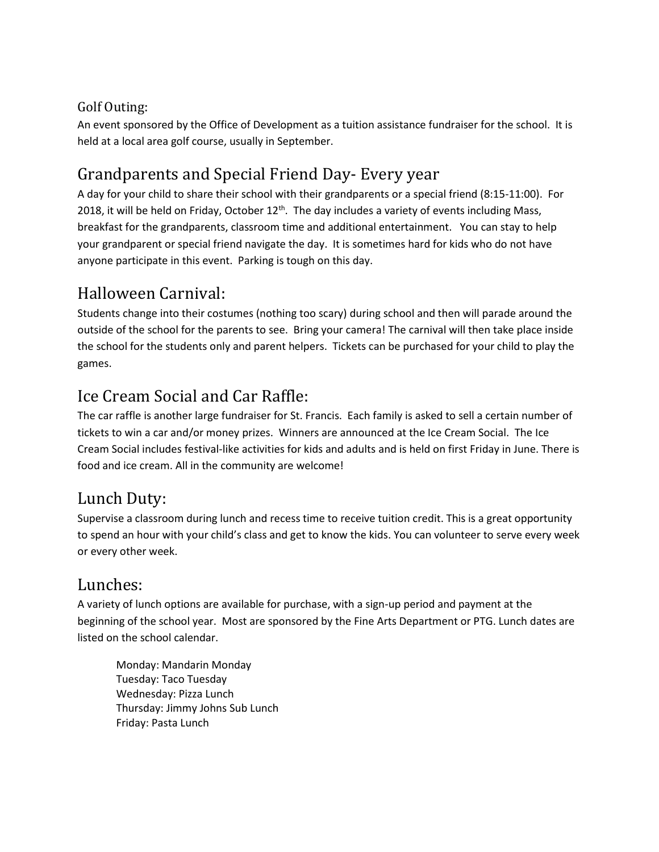#### <span id="page-3-0"></span>Golf Outing:

An event sponsored by the Office of Development as a tuition assistance fundraiser for the school. It is held at a local area golf course, usually in September.

### <span id="page-3-1"></span>Grandparents and Special Friend Day- Every year

A day for your child to share their school with their grandparents or a special friend (8:15-11:00). For 2018, it will be held on Friday, October  $12<sup>th</sup>$ . The day includes a variety of events including Mass, breakfast for the grandparents, classroom time and additional entertainment. You can stay to help your grandparent or special friend navigate the day. It is sometimes hard for kids who do not have anyone participate in this event. Parking is tough on this day.

### <span id="page-3-2"></span>Halloween Carnival:

Students change into their costumes (nothing too scary) during school and then will parade around the outside of the school for the parents to see. Bring your camera! The carnival will then take place inside the school for the students only and parent helpers. Tickets can be purchased for your child to play the games.

# <span id="page-3-3"></span>Ice Cream Social and Car Raffle:

The car raffle is another large fundraiser for St. Francis. Each family is asked to sell a certain number of tickets to win a car and/or money prizes. Winners are announced at the Ice Cream Social. The Ice Cream Social includes festival-like activities for kids and adults and is held on first Friday in June. There is food and ice cream. All in the community are welcome!

#### <span id="page-3-4"></span>Lunch Duty:

Supervise a classroom during lunch and recess time to receive tuition credit. This is a great opportunity to spend an hour with your child's class and get to know the kids. You can volunteer to serve every week or every other week.

#### <span id="page-3-5"></span>Lunches:

A variety of lunch options are available for purchase, with a sign-up period and payment at the beginning of the school year. Most are sponsored by the Fine Arts Department or PTG. Lunch dates are listed on the school calendar.

Monday: Mandarin Monday Tuesday: Taco Tuesday Wednesday: Pizza Lunch Thursday: Jimmy Johns Sub Lunch Friday: Pasta Lunch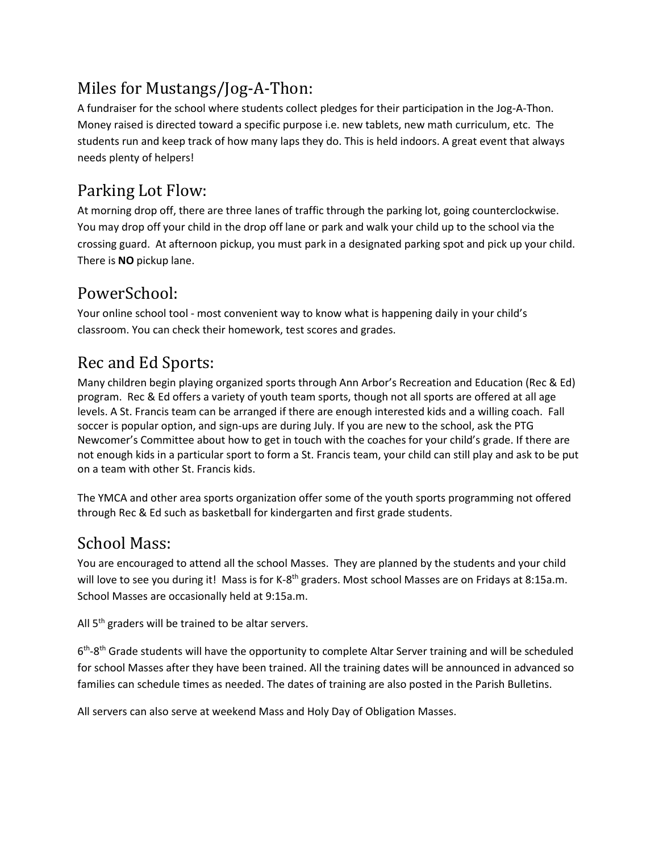### <span id="page-4-0"></span>Miles for Mustangs/Jog-A-Thon:

A fundraiser for the school where students collect pledges for their participation in the Jog-A-Thon. Money raised is directed toward a specific purpose i.e. new tablets, new math curriculum, etc. The students run and keep track of how many laps they do. This is held indoors. A great event that always needs plenty of helpers!

### <span id="page-4-1"></span>Parking Lot Flow:

At morning drop off, there are three lanes of traffic through the parking lot, going counterclockwise. You may drop off your child in the drop off lane or park and walk your child up to the school via the crossing guard. At afternoon pickup, you must park in a designated parking spot and pick up your child. There is **NO** pickup lane.

### <span id="page-4-2"></span>PowerSchool:

Your online school tool - most convenient way to know what is happening daily in your child's classroom. You can check their homework, test scores and grades.

### <span id="page-4-3"></span>Rec and Ed Sports:

Many children begin playing organized sports through Ann Arbor's Recreation and Education (Rec & Ed) program. Rec & Ed offers a variety of youth team sports, though not all sports are offered at all age levels. A St. Francis team can be arranged if there are enough interested kids and a willing coach. Fall soccer is popular option, and sign-ups are during July. If you are new to the school, ask the PTG Newcomer's Committee about how to get in touch with the coaches for your child's grade. If there are not enough kids in a particular sport to form a St. Francis team, your child can still play and ask to be put on a team with other St. Francis kids.

The YMCA and other area sports organization offer some of the youth sports programming not offered through Rec & Ed such as basketball for kindergarten and first grade students.

#### <span id="page-4-4"></span>School Mass:

You are encouraged to attend all the school Masses. They are planned by the students and your child will love to see you during it! Mass is for K-8<sup>th</sup> graders. Most school Masses are on Fridays at 8:15a.m. School Masses are occasionally held at 9:15a.m.

All  $5<sup>th</sup>$  graders will be trained to be altar servers.

6<sup>th</sup>-8<sup>th</sup> Grade students will have the opportunity to complete Altar Server training and will be scheduled for school Masses after they have been trained. All the training dates will be announced in advanced so families can schedule times as needed. The dates of training are also posted in the Parish Bulletins.

All servers can also serve at weekend Mass and Holy Day of Obligation Masses.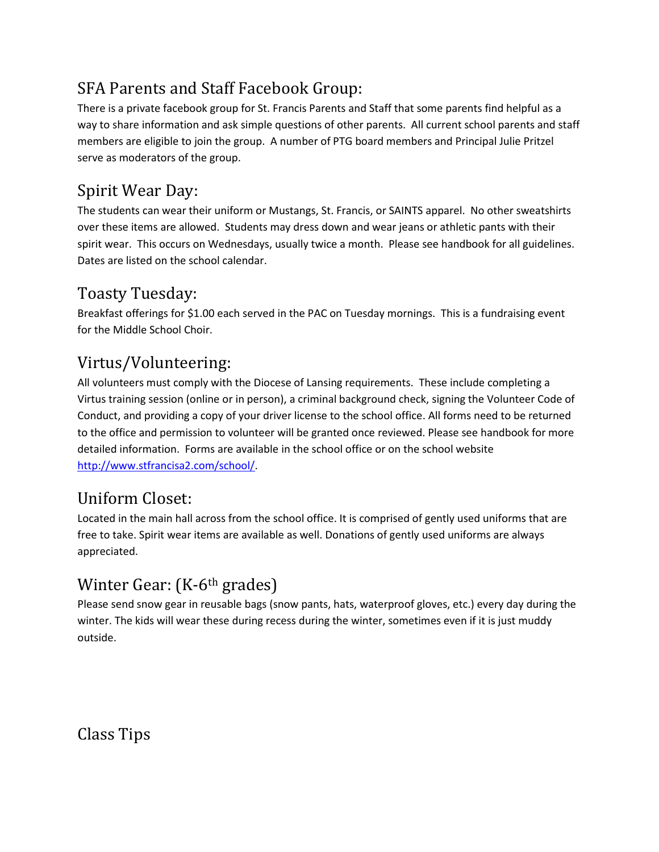### <span id="page-5-0"></span>SFA Parents and Staff Facebook Group:

There is a private facebook group for St. Francis Parents and Staff that some parents find helpful as a way to share information and ask simple questions of other parents. All current school parents and staff members are eligible to join the group. A number of PTG board members and Principal Julie Pritzel serve as moderators of the group.

### Spirit Wear Day:

The students can wear their uniform or Mustangs, St. Francis, or SAINTS apparel. No other sweatshirts over these items are allowed. Students may dress down and wear jeans or athletic pants with their spirit wear. This occurs on Wednesdays, usually twice a month. Please see handbook for all guidelines. Dates are listed on the school calendar.

### <span id="page-5-1"></span>Toasty Tuesday:

Breakfast offerings for \$1.00 each served in the PAC on Tuesday mornings. This is a fundraising event for the Middle School Choir.

### <span id="page-5-2"></span>Virtus/Volunteering:

All volunteers must comply with the Diocese of Lansing requirements. These include completing a Virtus training session (online or in person), a criminal background check, signing the Volunteer Code of Conduct, and providing a copy of your driver license to the school office. All forms need to be returned to the office and permission to volunteer will be granted once reviewed. Please see handbook for more detailed information. Forms are available in the school office or on the school website [http://www.stfrancisa2.com/school/.](http://www.stfrancisa2.com/school/)

#### <span id="page-5-3"></span>Uniform Closet:

Located in the main hall across from the school office. It is comprised of gently used uniforms that are free to take. Spirit wear items are available as well. Donations of gently used uniforms are always appreciated.

# <span id="page-5-4"></span>Winter Gear: (K-6<sup>th</sup> grades)

Please send snow gear in reusable bags (snow pants, hats, waterproof gloves, etc.) every day during the winter. The kids will wear these during recess during the winter, sometimes even if it is just muddy outside.

<span id="page-5-5"></span>Class Tips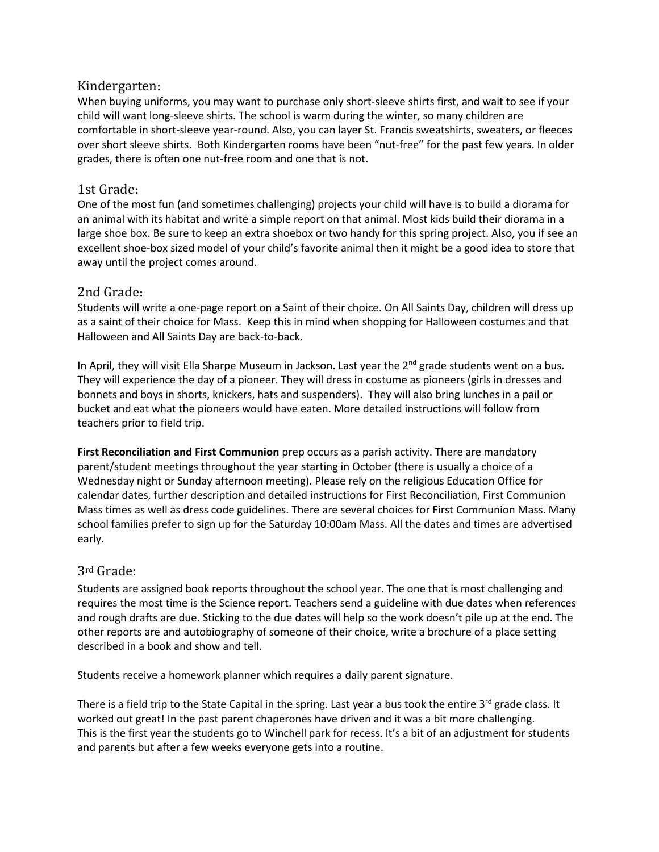#### <span id="page-6-0"></span>Kindergarten**:**

When buying uniforms, you may want to purchase only short-sleeve shirts first, and wait to see if your child will want long-sleeve shirts. The school is warm during the winter, so many children are comfortable in short-sleeve year-round. Also, you can layer St. Francis sweatshirts, sweaters, or fleeces over short sleeve shirts. Both Kindergarten rooms have been "nut-free" for the past few years. In older grades, there is often one nut-free room and one that is not.

#### <span id="page-6-1"></span>1st Grade**:**

One of the most fun (and sometimes challenging) projects your child will have is to build a diorama for an animal with its habitat and write a simple report on that animal. Most kids build their diorama in a large shoe box. Be sure to keep an extra shoebox or two handy for this spring project. Also, you if see an excellent shoe-box sized model of your child's favorite animal then it might be a good idea to store that away until the project comes around.

#### <span id="page-6-2"></span>2nd Grade**:**

Students will write a one-page report on a Saint of their choice. On All Saints Day, children will dress up as a saint of their choice for Mass. Keep this in mind when shopping for Halloween costumes and that Halloween and All Saints Day are back-to-back.

In April, they will visit Ella Sharpe Museum in Jackson. Last year the 2<sup>nd</sup> grade students went on a bus. They will experience the day of a pioneer. They will dress in costume as pioneers (girls in dresses and bonnets and boys in shorts, knickers, hats and suspenders). They will also bring lunches in a pail or bucket and eat what the pioneers would have eaten. More detailed instructions will follow from teachers prior to field trip.

**First Reconciliation and First Communion** prep occurs as a parish activity. There are mandatory parent/student meetings throughout the year starting in October (there is usually a choice of a Wednesday night or Sunday afternoon meeting). Please rely on the religious Education Office for calendar dates, further description and detailed instructions for First Reconciliation, First Communion Mass times as well as dress code guidelines. There are several choices for First Communion Mass. Many school families prefer to sign up for the Saturday 10:00am Mass. All the dates and times are advertised early.

#### <span id="page-6-3"></span>3rd Grade:

Students are assigned book reports throughout the school year. The one that is most challenging and requires the most time is the Science report. Teachers send a guideline with due dates when references and rough drafts are due. Sticking to the due dates will help so the work doesn't pile up at the end. The other reports are and autobiography of someone of their choice, write a brochure of a place setting described in a book and show and tell.

Students receive a homework planner which requires a daily parent signature.

There is a field trip to the State Capital in the spring. Last year a bus took the entire 3rd grade class. It worked out great! In the past parent chaperones have driven and it was a bit more challenging. This is the first year the students go to Winchell park for recess. It's a bit of an adjustment for students and parents but after a few weeks everyone gets into a routine.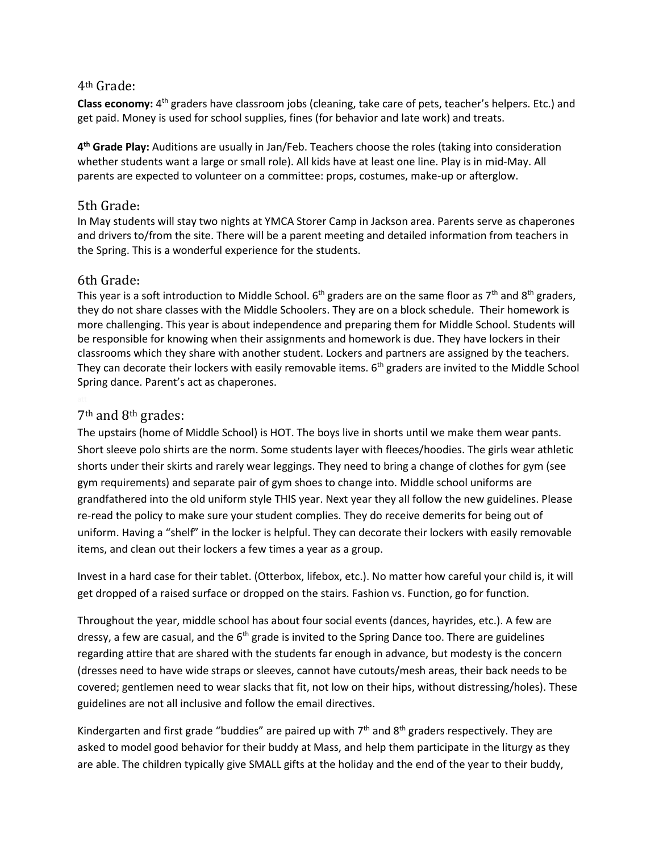#### <span id="page-7-0"></span>4th Grade:

Class economy: 4<sup>th</sup> graders have classroom jobs (cleaning, take care of pets, teacher's helpers. Etc.) and get paid. Money is used for school supplies, fines (for behavior and late work) and treats.

**4 th Grade Play:** Auditions are usually in Jan/Feb. Teachers choose the roles (taking into consideration whether students want a large or small role). All kids have at least one line. Play is in mid-May. All parents are expected to volunteer on a committee: props, costumes, make-up or afterglow.

#### <span id="page-7-1"></span>5th Grade**:**

In May students will stay two nights at YMCA Storer Camp in Jackson area. Parents serve as chaperones and drivers to/from the site. There will be a parent meeting and detailed information from teachers in the Spring. This is a wonderful experience for the students.

#### <span id="page-7-2"></span>6th Grade**:**

This year is a soft introduction to Middle School. 6<sup>th</sup> graders are on the same floor as 7<sup>th</sup> and 8<sup>th</sup> graders, they do not share classes with the Middle Schoolers. They are on a block schedule. Their homework is more challenging. This year is about independence and preparing them for Middle School. Students will be responsible for knowing when their assignments and homework is due. They have lockers in their classrooms which they share with another student. Lockers and partners are assigned by the teachers. They can decorate their lockers with easily removable items.  $6<sup>th</sup>$  graders are invited to the Middle School Spring dance. Parent's act as chaperones.

#### <span id="page-7-3"></span>7th and 8th grades:

The upstairs (home of Middle School) is HOT. The boys live in shorts until we make them wear pants. Short sleeve polo shirts are the norm. Some students layer with fleeces/hoodies. The girls wear athletic shorts under their skirts and rarely wear leggings. They need to bring a change of clothes for gym (see gym requirements) and separate pair of gym shoes to change into. Middle school uniforms are grandfathered into the old uniform style THIS year. Next year they all follow the new guidelines. Please re-read the policy to make sure your student complies. They do receive demerits for being out of uniform. Having a "shelf" in the locker is helpful. They can decorate their lockers with easily removable items, and clean out their lockers a few times a year as a group.

Invest in a hard case for their tablet. (Otterbox, lifebox, etc.). No matter how careful your child is, it will get dropped of a raised surface or dropped on the stairs. Fashion vs. Function, go for function.

Throughout the year, middle school has about four social events (dances, hayrides, etc.). A few are dressy, a few are casual, and the  $6<sup>th</sup>$  grade is invited to the Spring Dance too. There are guidelines regarding attire that are shared with the students far enough in advance, but modesty is the concern (dresses need to have wide straps or sleeves, cannot have cutouts/mesh areas, their back needs to be covered; gentlemen need to wear slacks that fit, not low on their hips, without distressing/holes). These guidelines are not all inclusive and follow the email directives.

Kindergarten and first grade "buddies" are paired up with  $7<sup>th</sup>$  and  $8<sup>th</sup>$  graders respectively. They are asked to model good behavior for their buddy at Mass, and help them participate in the liturgy as they are able. The children typically give SMALL gifts at the holiday and the end of the year to their buddy,